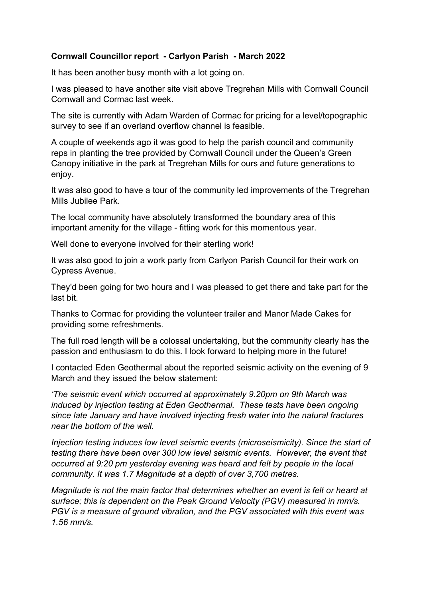## Cornwall Councillor report - Carlyon Parish - March 2022

It has been another busy month with a lot going on.

I was pleased to have another site visit above Tregrehan Mills with Cornwall Council Cornwall and Cormac last week.

The site is currently with Adam Warden of Cormac for pricing for a level/topographic survey to see if an overland overflow channel is feasible.

A couple of weekends ago it was good to help the parish council and community reps in planting the tree provided by Cornwall Council under the Queen's Green Canopy initiative in the park at Tregrehan Mills for ours and future generations to enjoy.

It was also good to have a tour of the community led improvements of the Tregrehan Mills Jubilee Park.

The local community have absolutely transformed the boundary area of this important amenity for the village - fitting work for this momentous year.

Well done to everyone involved for their sterling work!

It was also good to join a work party from Carlyon Parish Council for their work on Cypress Avenue.

They'd been going for two hours and I was pleased to get there and take part for the last bit.

Thanks to Cormac for providing the volunteer trailer and Manor Made Cakes for providing some refreshments.

The full road length will be a colossal undertaking, but the community clearly has the passion and enthusiasm to do this. I look forward to helping more in the future!

I contacted Eden Geothermal about the reported seismic activity on the evening of 9 March and they issued the below statement:

'The seismic event which occurred at approximately 9.20pm on 9th March was induced by injection testing at Eden Geothermal. These tests have been ongoing since late January and have involved injecting fresh water into the natural fractures near the bottom of the well.

Injection testing induces low level seismic events (microseismicity). Since the start of testing there have been over 300 low level seismic events. However, the event that occurred at 9:20 pm yesterday evening was heard and felt by people in the local community. It was 1.7 Magnitude at a depth of over 3,700 metres.

Magnitude is not the main factor that determines whether an event is felt or heard at surface; this is dependent on the Peak Ground Velocity (PGV) measured in mm/s. PGV is a measure of ground vibration, and the PGV associated with this event was 1.56 mm/s.